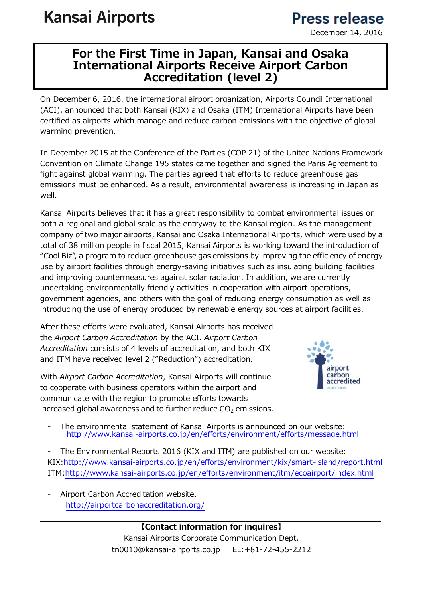# **Kansai Airports**

## **Press release**

December 14, 2016

#### For the First Time in Japan, Kansai and Osaka International Airports Receive Airport Carbon Accreditation (level 2)

On December 6, 2016, the international airport organization, Airports Council International (ACI), announced that both Kansai (KIX) and Osaka (ITM) International Airports have been certified as airports which manage and reduce carbon emissions with the objective of global warming prevention.

In December 2015 at the Conference of the Parties (COP 21) of the United Nations Framework Convention on Climate Change 195 states came together and signed the Paris Agreement to fight against global warming. The parties agreed that efforts to reduce greenhouse gas emissions must be enhanced. As a result, environmental awareness is increasing in Japan as well.

Kansai Airports believes that it has a great responsibility to combat environmental issues on both a regional and global scale as the entryway to the Kansai region. As the management company of two major airports, Kansai and Osaka International Airports, which were used by a total of 38 million people in fiscal 2015, Kansai Airports is working toward the introduction of "Cool Biz", a program to reduce greenhouse gas emissions by improving the efficiency of energy use by airport facilities through energy-saving initiatives such as insulating building facilities and improving countermeasures against solar radiation. In addition, we are currently undertaking environmentally friendly activities in cooperation with airport operations, government agencies, and others with the goal of reducing energy consumption as well as introducing the use of energy produced by renewable energy sources at airport facilities.

After these efforts were evaluated, Kansai Airports has received the Airport Carbon Accreditation by the ACI. Airport Carbon Accreditation consists of 4 levels of accreditation, and both KIX and ITM have received level 2 ("Reduction") accreditation.

With Airport Carbon Accreditation, Kansai Airports will continue to cooperate with business operators within the airport and communicate with the region to promote efforts towards increased global awareness and to further reduce  $CO<sub>2</sub>$  emissions.



- The environmental statement of Kansai Airports is announced on our website: http://www.kansai-airports.co.jp/en/efforts/environment/efforts/message.html

The Environmental Reports 2016 (KIX and ITM) are published on our website: KIX:http://www.kansai-airports.co.jp/en/efforts/environment/kix/smart-island/report.html ITM:http://www.kansai-airports.co.jp/en/efforts/environment/itm/ecoairport/index.html

Airport Carbon Accreditation website. http://airportcarbonaccreditation.org/

> 【Contact information for inquires】 Kansai Airports Corporate Communication Dept. tn0010@kansai-airports.co.jp TEL:+81-72-455-2212